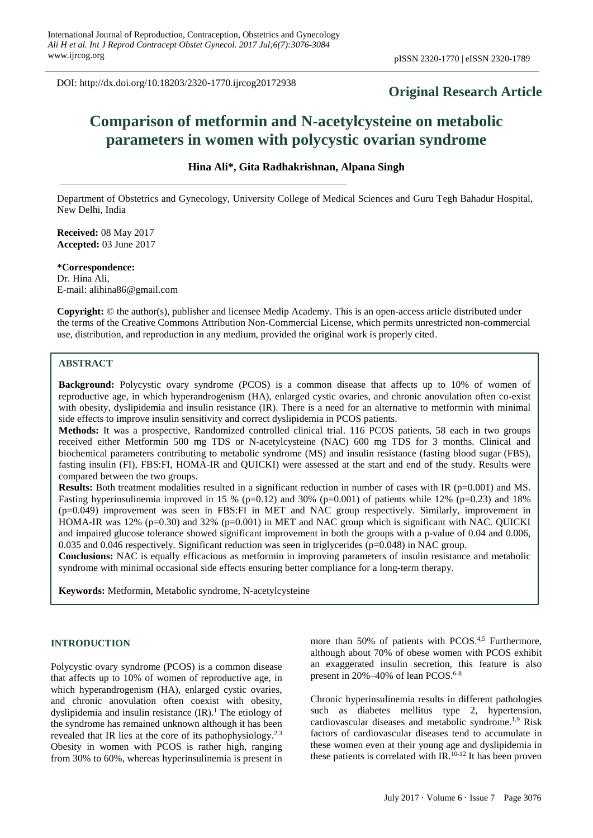DOI: http://dx.doi.org/10.18203/2320-1770.ijrcog20172938

# **Original Research Article**

# **Comparison of metformin and N-acetylcysteine on metabolic parameters in women with polycystic ovarian syndrome**

#### **Hina Ali\*, Gita Radhakrishnan, Alpana Singh**

Department of Obstetrics and Gynecology, University College of Medical Sciences and Guru Tegh Bahadur Hospital, New Delhi, India

**Received:** 08 May 2017 **Accepted:** 03 June 2017

**\*Correspondence:** Dr. Hina Ali, E-mail: alihina86@gmail.com

**Copyright:** © the author(s), publisher and licensee Medip Academy. This is an open-access article distributed under the terms of the Creative Commons Attribution Non-Commercial License, which permits unrestricted non-commercial use, distribution, and reproduction in any medium, provided the original work is properly cited.

#### **ABSTRACT**

**Background:** Polycystic ovary syndrome (PCOS) is a common disease that affects up to 10% of women of reproductive age, in which hyperandrogenism (HA), enlarged cystic ovaries, and chronic anovulation often co-exist with obesity, dyslipidemia and insulin resistance (IR). There is a need for an alternative to metformin with minimal side effects to improve insulin sensitivity and correct dyslipidemia in PCOS patients.

**Methods:** It was a prospective, Randomized controlled clinical trial. 116 PCOS patients, 58 each in two groups received either Metformin 500 mg TDS or N-acetylcysteine (NAC) 600 mg TDS for 3 months. Clinical and biochemical parameters contributing to metabolic syndrome (MS) and insulin resistance (fasting blood sugar (FBS), fasting insulin (FI), FBS:FI, HOMA-IR and QUICKI) were assessed at the start and end of the study. Results were compared between the two groups.

**Results:** Both treatment modalities resulted in a significant reduction in number of cases with IR (p=0.001) and MS. Fasting hyperinsulinemia improved in 15 % (p=0.12) and 30% (p=0.001) of patients while 12% (p=0.23) and 18% (p=0.049) improvement was seen in FBS:FI in MET and NAC group respectively. Similarly, improvement in HOMA-IR was 12% (p=0.30) and 32% (p=0.001) in MET and NAC group which is significant with NAC. QUICKI and impaired glucose tolerance showed significant improvement in both the groups with a p-value of 0.04 and 0.006, 0.035 and 0.046 respectively. Significant reduction was seen in triglycerides (p=0.048) in NAC group.

**Conclusions:** NAC is equally efficacious as metformin in improving parameters of insulin resistance and metabolic syndrome with minimal occasional side effects ensuring better compliance for a long-term therapy.

**Keywords:** Metformin, Metabolic syndrome, N-acetylcysteine

## **INTRODUCTION**

Polycystic ovary syndrome (PCOS) is a common disease that affects up to 10% of women of reproductive age, in which hyperandrogenism (HA), enlarged cystic ovaries, and chronic anovulation often coexist with obesity, dyslipidemia and insulin resistance (IR). <sup>1</sup> The etiology of the syndrome has remained unknown although it has been revealed that IR lies at the core of its pathophysiology.<sup>2,3</sup> Obesity in women with PCOS is rather high, ranging from 30% to 60%, whereas hyperinsulinemia is present in

more than 50% of patients with PCOS.<sup>4,5</sup> Furthermore, although about 70% of obese women with PCOS exhibit an exaggerated insulin secretion, this feature is also present in  $20\% - 40\%$  of lean PCOS.<sup>6-8</sup>

Chronic hyperinsulinemia results in different pathologies such as diabetes mellitus type 2, hypertension, cardiovascular diseases and metabolic syndrome.<sup>1,9</sup> Risk factors of cardiovascular diseases tend to accumulate in these women even at their young age and dyslipidemia in these patients is correlated with IR.10-12 It has been proven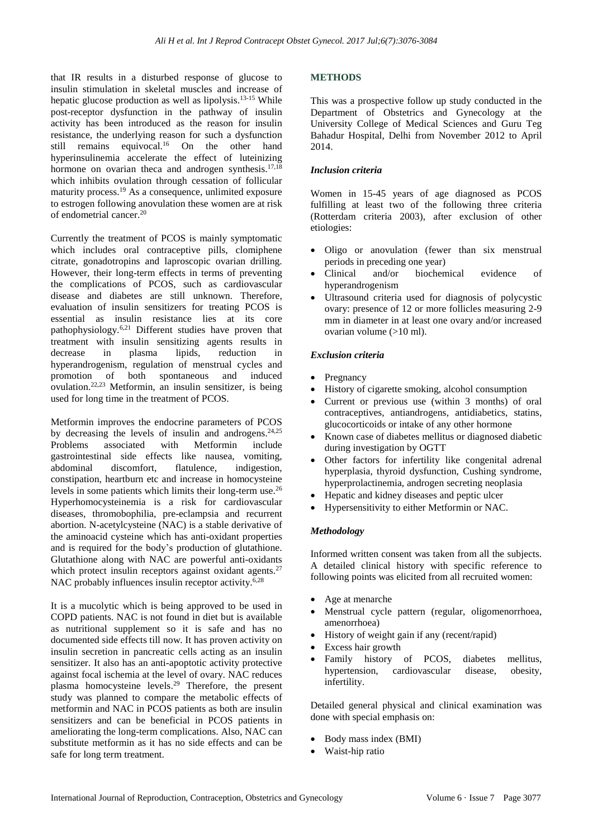that IR results in a disturbed response of glucose to insulin stimulation in skeletal muscles and increase of hepatic glucose production as well as lipolysis. 13-15 While post-receptor dysfunction in the pathway of insulin activity has been introduced as the reason for insulin resistance, the underlying reason for such a dysfunction still remains equivocal. <sup>16</sup> On the other hand hyperinsulinemia accelerate the effect of luteinizing hormone on ovarian theca and androgen synthesis.<sup>17,18</sup> which inhibits ovulation through cessation of follicular maturity process.<sup>19</sup> As a consequence, unlimited exposure to estrogen following anovulation these women are at risk of endometrial cancer. 20

Currently the treatment of PCOS is mainly symptomatic which includes oral contraceptive pills, clomiphene citrate, gonadotropins and laproscopic ovarian drilling. However, their long-term effects in terms of preventing the complications of PCOS, such as cardiovascular disease and diabetes are still unknown. Therefore, evaluation of insulin sensitizers for treating PCOS is essential as insulin resistance lies at its core pathophysiology.6,21 Different studies have proven that treatment with insulin sensitizing agents results in decrease in plasma lipids, reduction in hyperandrogenism, regulation of menstrual cycles and promotion of both spontaneous and induced ovulation. 22,23 Metformin, an insulin sensitizer, is being used for long time in the treatment of PCOS.

Metformin improves the endocrine parameters of PCOS by decreasing the levels of insulin and androgens. 24,25 Problems associated with Metformin include gastrointestinal side effects like nausea, vomiting, abdominal discomfort, flatulence, indigestion, constipation, heartburn etc and increase in homocysteine levels in some patients which limits their long-term use. 26 Hyperhomocysteinemia is a risk for cardiovascular diseases, thromobophilia, pre-eclampsia and recurrent abortion. N-acetylcysteine (NAC) is a stable derivative of the aminoacid cysteine which has anti-oxidant properties and is required for the body's production of glutathione. Glutathione along with NAC are powerful anti-oxidants which protect insulin receptors against oxidant agents.<sup>27</sup> NAC probably influences insulin receptor activity.<sup>6,28</sup>

It is a mucolytic which is being approved to be used in COPD patients. NAC is not found in diet but is available as nutritional supplement so it is safe and has no documented side effects till now. It has proven activity on insulin secretion in pancreatic cells acting as an insulin sensitizer. It also has an anti-apoptotic activity protective against focal ischemia at the level of ovary. NAC reduces plasma homocysteine levels. <sup>29</sup> Therefore, the present study was planned to compare the metabolic effects of metformin and NAC in PCOS patients as both are insulin sensitizers and can be beneficial in PCOS patients in ameliorating the long-term complications. Also, NAC can substitute metformin as it has no side effects and can be safe for long term treatment.

# **METHODS**

This was a prospective follow up study conducted in the Department of Obstetrics and Gynecology at the University College of Medical Sciences and Guru Teg Bahadur Hospital, Delhi from November 2012 to April 2014.

#### *Inclusion criteria*

Women in 15-45 years of age diagnosed as PCOS fulfilling at least two of the following three criteria (Rotterdam criteria 2003), after exclusion of other etiologies:

- Oligo or anovulation (fewer than six menstrual periods in preceding one year)
- Clinical and/or biochemical evidence of hyperandrogenism
- Ultrasound criteria used for diagnosis of polycystic ovary: presence of 12 or more follicles measuring 2-9 mm in diameter in at least one ovary and/or increased ovarian volume (>10 ml).

#### *Exclusion criteria*

- Pregnancy
- History of cigarette smoking, alcohol consumption
- Current or previous use (within 3 months) of oral contraceptives, antiandrogens, antidiabetics, statins, glucocorticoids or intake of any other hormone
- Known case of diabetes mellitus or diagnosed diabetic during investigation by OGTT
- Other factors for infertility like congenital adrenal hyperplasia, thyroid dysfunction, Cushing syndrome, hyperprolactinemia, androgen secreting neoplasia
- Hepatic and kidney diseases and peptic ulcer
- Hypersensitivity to either Metformin or NAC.

#### *Methodology*

Informed written consent was taken from all the subjects. A detailed clinical history with specific reference to following points was elicited from all recruited women:

- Age at menarche
- Menstrual cycle pattern (regular, oligomenorrhoea, amenorrhoea)
- History of weight gain if any (recent/rapid)
- Excess hair growth
- Family history of PCOS, diabetes mellitus, hypertension, cardiovascular disease, obesity, infertility.

Detailed general physical and clinical examination was done with special emphasis on:

- Body mass index (BMI)
- Waist-hip ratio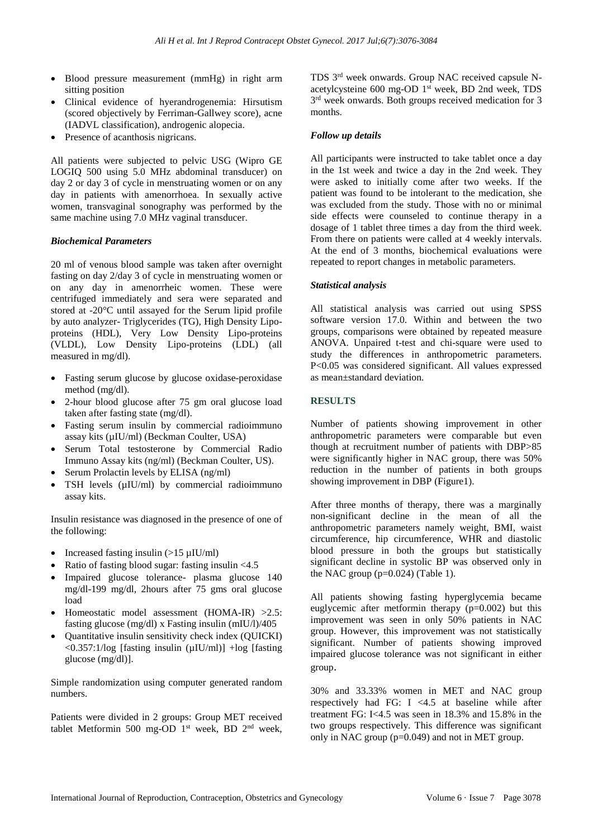- Blood pressure measurement (mmHg) in right arm sitting position
- Clinical evidence of hyerandrogenemia: Hirsutism (scored objectively by Ferriman-Gallwey score), acne (IADVL classification), androgenic alopecia.
- Presence of acanthosis nigricans.

All patients were subjected to pelvic USG (Wipro GE LOGIQ 500 using 5.0 MHz abdominal transducer) on day 2 or day 3 of cycle in menstruating women or on any day in patients with amenorrhoea. In sexually active women, transvaginal sonography was performed by the same machine using 7.0 MHz vaginal transducer.

#### *Biochemical Parameters*

20 ml of venous blood sample was taken after overnight fasting on day 2/day 3 of cycle in menstruating women or on any day in amenorrheic women. These were centrifuged immediately and sera were separated and stored at -20°C until assayed for the Serum lipid profile by auto analyzer- Triglycerides (TG), High Density Lipoproteins (HDL), Very Low Density Lipo-proteins (VLDL), Low Density Lipo-proteins (LDL) (all measured in mg/dl).

- Fasting serum glucose by glucose oxidase-peroxidase method (mg/dl).
- 2-hour blood glucose after 75 gm oral glucose load taken after fasting state (mg/dl).
- Fasting serum insulin by commercial radioimmuno assay kits (µIU/ml) (Beckman Coulter, USA)
- Serum Total testosterone by Commercial Radio Immuno Assay kits (ng/ml) (Beckman Coulter, US).
- Serum Prolactin levels by ELISA (ng/ml)
- TSH levels ( $\mu$ IU/ml) by commercial radioimmuno assay kits.

Insulin resistance was diagnosed in the presence of one of the following:

- Increased fasting insulin  $(>15 \mu$ IU/ml)
- Ratio of fasting blood sugar: fasting insulin <4.5
- Impaired glucose tolerance- plasma glucose 140 mg/dl-199 mg/dl, 2hours after 75 gms oral glucose load
- Homeostatic model assessment (HOMA-IR) >2.5: fasting glucose (mg/dl) x Fasting insulin (mIU/l)/405
- Quantitative insulin sensitivity check index (QUICKI)  $\langle 0.357:1/\log$  [fasting insulin ( $\mu$ IU/ml)] +log [fasting glucose (mg/dl)].

Simple randomization using computer generated random numbers.

Patients were divided in 2 groups: Group MET received tablet Metformin 500 mg-OD  $1<sup>st</sup>$  week, BD  $2<sup>nd</sup>$  week,

TDS 3 rd week onwards. Group NAC received capsule Nacetylcysteine 600 mg-OD 1 st week, BD 2nd week, TDS 3 rd week onwards. Both groups received medication for 3 months.

#### *Follow up details*

All participants were instructed to take tablet once a day in the 1st week and twice a day in the 2nd week. They were asked to initially come after two weeks. If the patient was found to be intolerant to the medication, she was excluded from the study. Those with no or minimal side effects were counseled to continue therapy in a dosage of 1 tablet three times a day from the third week. From there on patients were called at 4 weekly intervals. At the end of 3 months, biochemical evaluations were repeated to report changes in metabolic parameters.

#### *Statistical analysis*

All statistical analysis was carried out using SPSS software version 17.0. Within and between the two groups, comparisons were obtained by repeated measure ANOVA. Unpaired t-test and chi-square were used to study the differences in anthropometric parameters. P<0.05 was considered significant. All values expressed as mean±standard deviation.

#### **RESULTS**

Number of patients showing improvement in other anthropometric parameters were comparable but even though at recruitment number of patients with DBP>85 were significantly higher in NAC group, there was 50% reduction in the number of patients in both groups showing improvement in DBP (Figure1).

After three months of therapy, there was a marginally non-significant decline in the mean of all the anthropometric parameters namely weight, BMI, waist circumference, hip circumference, WHR and diastolic blood pressure in both the groups but statistically significant decline in systolic BP was observed only in the NAC group  $(p=0.024)$  (Table 1).

All patients showing fasting hyperglycemia became euglycemic after metformin therapy (p=0.002) but this improvement was seen in only 50% patients in NAC group. However, this improvement was not statistically significant. Number of patients showing improved impaired glucose tolerance was not significant in either group.

30% and 33.33% women in MET and NAC group respectively had FG: I <4.5 at baseline while after treatment FG: I<4.5 was seen in 18.3% and 15.8% in the two groups respectively. This difference was significant only in NAC group (p=0.049) and not in MET group.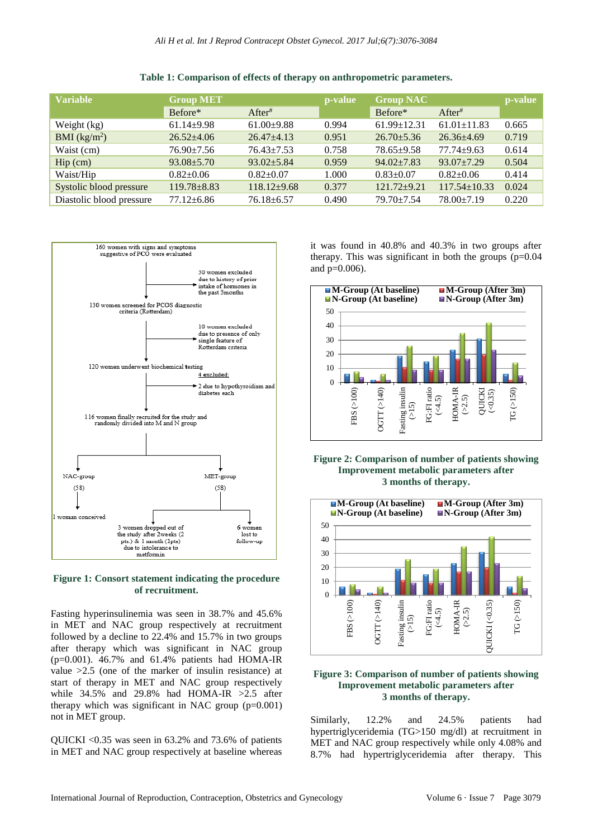**Table 1: Comparison of effects of therapy on anthropometric parameters.**

| <b>Group MET</b>  |                    | p-value |                   |                    | p-value |
|-------------------|--------------------|---------|-------------------|--------------------|---------|
| Before*           | After <sup>#</sup> |         | Before*           | After#             |         |
| $61.14 \pm 9.98$  | $61.00 \pm 9.88$   | 0.994   | $61.99 \pm 12.31$ | $61.01 \pm 11.83$  | 0.665   |
| $26.52 + 4.06$    | $26.47 + 4.13$     | 0.951   | $26.70 \pm 5.36$  | $26.36 + 4.69$     | 0.719   |
| $76.90 \pm 7.56$  | $76.43 \pm 7.53$   | 0.758   | $78.65 \pm 9.58$  | $77.74 + 9.63$     | 0.614   |
| $93.08 \pm 5.70$  | $93.02 \pm 5.84$   | 0.959   | $94.02 \pm 7.83$  | $93.07 + 7.29$     | 0.504   |
| $0.82+0.06$       | $0.82+0.07$        | 1.000   | $0.83 \pm 0.07$   | $0.82 \pm 0.06$    | 0.414   |
| $119.78 \pm 8.83$ | $118.12 + 9.68$    | 0.377   | $121.72 + 9.21$   | $117.54 \pm 10.33$ | 0.024   |
| $77.12 \pm 6.86$  | $76.18 \pm 6.57$   | 0.490   | 79.70±7.54        | $78.00 \pm 7.19$   | 0.220   |
|                   |                    |         |                   | <b>Group NAC</b>   |         |



#### **Figure 1: Consort statement indicating the procedure of recruitment.**

Fasting hyperinsulinemia was seen in 38.7% and 45.6% in MET and NAC group respectively at recruitment followed by a decline to 22.4% and 15.7% in two groups after therapy which was significant in NAC group (p=0.001). 46.7% and 61.4% patients had HOMA-IR value >2.5 (one of the marker of insulin resistance) at start of therapy in MET and NAC group respectively while  $34.5\%$  and  $29.8\%$  had HOMA-IR  $>2.5$  after therapy which was significant in NAC group  $(p=0.001)$ not in MET group.

QUICKI <0.35 was seen in 63.2% and 73.6% of patients in MET and NAC group respectively at baseline whereas it was found in 40.8% and 40.3% in two groups after therapy. This was significant in both the groups  $(p=0.04)$ and p=0.006).



#### **Figure 2: Comparison of number of patients showing Improvement metabolic parameters after 3 months of therapy.**



#### **Figure 3: Comparison of number of patients showing Improvement metabolic parameters after 3 months of therapy.**

Similarly, 12.2% and 24.5% patients had hypertriglyceridemia (TG>150 mg/dl) at recruitment in MET and NAC group respectively while only 4.08% and 8.7% had hypertriglyceridemia after therapy. This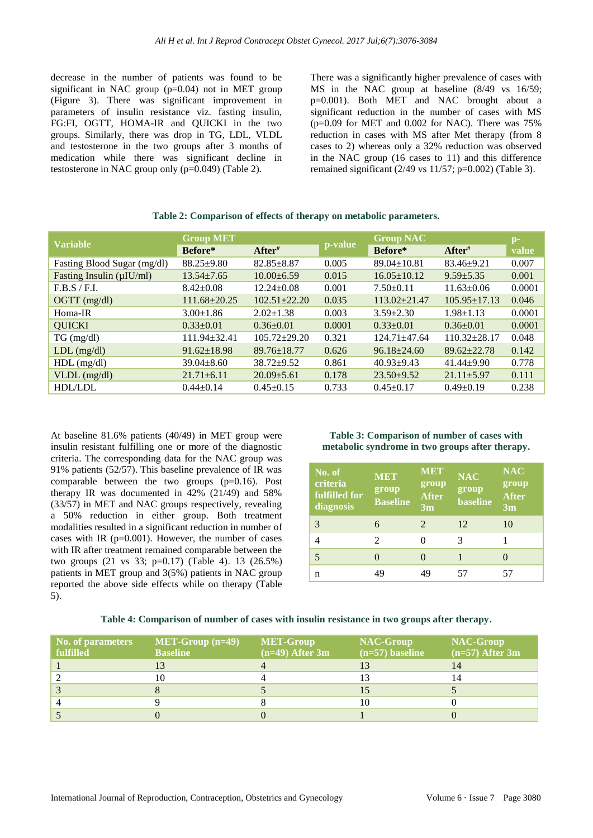decrease in the number of patients was found to be significant in NAC group (p=0.04) not in MET group (Figure 3). There was significant improvement in parameters of insulin resistance viz. fasting insulin, FG:FI, OGTT, HOMA-IR and QUICKI in the two groups. Similarly, there was drop in TG, LDL, VLDL and testosterone in the two groups after 3 months of medication while there was significant decline in testosterone in NAC group only (p=0.049) (Table 2).

There was a significantly higher prevalence of cases with MS in the NAC group at baseline (8/49 vs 16/59; p=0.001). Both MET and NAC brought about a significant reduction in the number of cases with MS  $(p=0.09$  for MET and 0.002 for NAC). There was  $75%$ reduction in cases with MS after Met therapy (from 8 cases to 2) whereas only a 32% reduction was observed in the NAC group (16 cases to 11) and this difference remained significant  $(2/49 \text{ vs } 11/57; \text{p}=0.002)$  (Table 3).

| <b>Variable</b>                | <b>Group MET</b>   |                    |         | <b>Group NAC</b>   |                    | $p-$   |
|--------------------------------|--------------------|--------------------|---------|--------------------|--------------------|--------|
|                                | Before*            | After <sup>#</sup> | p-value | Before*            | After <sup>#</sup> | value  |
| Fasting Blood Sugar (mg/dl)    | $88.25 \pm 9.80$   | $82.85 \pm 8.87$   | 0.005   | $89.04 \pm 10.81$  | $83.46 \pm 9.21$   | 0.007  |
| Fasting Insulin $(\mu I U/ml)$ | $13.54 \pm 7.65$   | $10.00\pm 6.59$    | 0.015   | $16.05 \pm 10.12$  | $9.59 \pm 5.35$    | 0.001  |
| F.B.S/F.I.                     | $8.42 \pm 0.08$    | $12.24 \pm 0.08$   | 0.001   | $7.50 \pm 0.11$    | $11.63 \pm 0.06$   | 0.0001 |
| $OGTT$ (mg/dl)                 | $111.68 \pm 20.25$ | $102.51 + 22.20$   | 0.035   | $113.02 \pm 21.47$ | $105.95 \pm 17.13$ | 0.046  |
| Homa-IR                        | $3.00 \pm 1.86$    | $2.02+1.38$        | 0.003   | $3.59 \pm 2.30$    | $1.98 \pm 1.13$    | 0.0001 |
| <b>OUICKI</b>                  | $0.33 \pm 0.01$    | $0.36 \pm 0.01$    | 0.0001  | $0.33 \pm 0.01$    | $0.36 \pm 0.01$    | 0.0001 |
| $TG \, (mg/dl)$                | $111.94 \pm 32.41$ | $105.72 \pm 29.20$ | 0.321   | $124.71 + 47.64$   | $110.32 \pm 28.17$ | 0.048  |
| $LDL$ (mg/dl)                  | $91.62 \pm 18.98$  | $89.76 \pm 18.77$  | 0.626   | $96.18 \pm 24.60$  | $89.62 \pm 22.78$  | 0.142  |
| $HDL$ (mg/dl)                  | $39.04 \pm 8.60$   | $38.72 + 9.52$     | 0.861   | $40.93 \pm 9.43$   | $41.44 \pm 9.90$   | 0.778  |
| $VLDL$ (mg/dl)                 | $21.71 \pm 6.11$   | $20.09 \pm 5.61$   | 0.178   | $23.50 \pm 9.52$   | $21.11 \pm 5.97$   | 0.111  |
| <b>HDL/LDL</b>                 | $0.44 \pm 0.14$    | $0.45 \pm 0.15$    | 0.733   | $0.45 \pm 0.17$    | $0.49 \pm 0.19$    | 0.238  |

#### **Table 2: Comparison of effects of therapy on metabolic parameters.**

At baseline 81.6% patients (40/49) in MET group were insulin resistant fulfilling one or more of the diagnostic criteria. The corresponding data for the NAC group was 91% patients (52/57). This baseline prevalence of IR was comparable between the two groups (p=0.16). Post therapy IR was documented in 42% (21/49) and 58% (33/57) in MET and NAC groups respectively, revealing a 50% reduction in either group. Both treatment modalities resulted in a significant reduction in number of cases with IR  $(p=0.001)$ . However, the number of cases with IR after treatment remained comparable between the two groups (21 vs 33; p=0.17) (Table 4). 13 (26.5%) patients in MET group and 3(5%) patients in NAC group reported the above side effects while on therapy (Table 5).

**Table 3: Comparison of number of cases with metabolic syndrome in two groups after therapy.**

| No. of<br>criteria<br>fulfilled for<br>diagnosis | <b>MET</b><br>group<br><b>Baseline</b> | MET<br>group<br><b>After</b><br>3m | <b>NAC</b><br>group<br><b>baseline</b> | <b>NAC</b><br>group<br><b>After</b><br>3m |
|--------------------------------------------------|----------------------------------------|------------------------------------|----------------------------------------|-------------------------------------------|
| 3                                                | 6                                      | $\mathcal{D}_{\mathcal{L}}$        | 12                                     | 10                                        |
|                                                  | 2                                      | 0                                  | 3                                      |                                           |
| 5                                                |                                        | $\left( \right)$                   |                                        |                                           |
| n                                                | 49                                     | 49                                 | 57                                     | 57                                        |

#### **Table 4: Comparison of number of cases with insulin resistance in two groups after therapy.**

| <b>No. of parameters</b> | $MET-Group(n=49)$ | <b>MET-Group</b>  | <b>NAC-Group</b>  | <b>NAC-Group</b>  |
|--------------------------|-------------------|-------------------|-------------------|-------------------|
| fulfilled                | <b>Baseline</b>   | $(n=49)$ After 3m | $(n=57)$ baseline | $(n=57)$ After 3m |
|                          |                   |                   |                   |                   |
|                          | 10                |                   |                   |                   |
|                          |                   |                   |                   |                   |
|                          |                   |                   | 10                |                   |
|                          |                   |                   |                   |                   |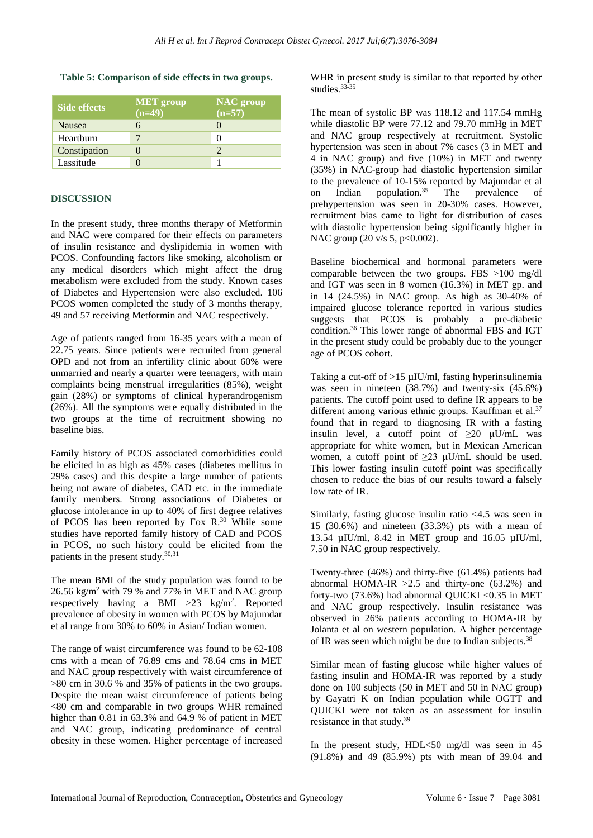#### **Table 5: Comparison of side effects in two groups.**

| <b>Side effects</b> | <b>MET</b> group<br>$(n=49)$ | <b>NAC</b> group<br>$(n=57)$ |
|---------------------|------------------------------|------------------------------|
| Nausea              |                              |                              |
| Heartburn           |                              |                              |
| Constipation        |                              |                              |
| Lassitude           |                              |                              |

#### **DISCUSSION**

In the present study, three months therapy of Metformin and NAC were compared for their effects on parameters of insulin resistance and dyslipidemia in women with PCOS. Confounding factors like smoking, alcoholism or any medical disorders which might affect the drug metabolism were excluded from the study. Known cases of Diabetes and Hypertension were also excluded. 106 PCOS women completed the study of 3 months therapy, 49 and 57 receiving Metformin and NAC respectively.

Age of patients ranged from 16-35 years with a mean of 22.75 years. Since patients were recruited from general OPD and not from an infertility clinic about 60% were unmarried and nearly a quarter were teenagers, with main complaints being menstrual irregularities (85%), weight gain (28%) or symptoms of clinical hyperandrogenism (26%). All the symptoms were equally distributed in the two groups at the time of recruitment showing no baseline bias.

Family history of PCOS associated comorbidities could be elicited in as high as 45% cases (diabetes mellitus in 29% cases) and this despite a large number of patients being not aware of diabetes, CAD etc. in the immediate family members. Strong associations of Diabetes or glucose intolerance in up to 40% of first degree relatives of PCOS has been reported by Fox  $R^{30}$  While some studies have reported family history of CAD and PCOS in PCOS, no such history could be elicited from the patients in the present study.<sup>30,31</sup>

The mean BMI of the study population was found to be  $26.56$  kg/m<sup>2</sup> with 79 % and 77% in MET and NAC group respectively having a BMI  $>23$  kg/m<sup>2</sup>. Reported prevalence of obesity in women with PCOS by Majumdar et al range from 30% to 60% in Asian/ Indian women.

The range of waist circumference was found to be 62-108 cms with a mean of 76.89 cms and 78.64 cms in MET and NAC group respectively with waist circumference of >80 cm in 30.6 % and 35% of patients in the two groups. Despite the mean waist circumference of patients being <80 cm and comparable in two groups WHR remained higher than 0.81 in 63.3% and 64.9 % of patient in MET and NAC group, indicating predominance of central obesity in these women. Higher percentage of increased WHR in present study is similar to that reported by other studies. 33-35

The mean of systolic BP was 118.12 and 117.54 mmHg while diastolic BP were 77.12 and 79.70 mmHg in MET and NAC group respectively at recruitment. Systolic hypertension was seen in about 7% cases (3 in MET and 4 in NAC group) and five (10%) in MET and twenty (35%) in NAC-group had diastolic hypertension similar to the prevalence of 10-15% reported by Majumdar et al on Indian population.<sup>35</sup> The prevalence of prehypertension was seen in 20-30% cases. However, recruitment bias came to light for distribution of cases with diastolic hypertension being significantly higher in NAC group (20 v/s 5, p<0.002).

Baseline biochemical and hormonal parameters were comparable between the two groups. FBS >100 mg/dl and IGT was seen in 8 women (16.3%) in MET gp. and in 14 (24.5%) in NAC group. As high as 30-40% of impaired glucose tolerance reported in various studies suggests that PCOS is probably a pre-diabetic condition. <sup>36</sup> This lower range of abnormal FBS and IGT in the present study could be probably due to the younger age of PCOS cohort.

Taking a cut-off of  $>15 \mu$ IU/ml, fasting hyperinsulinemia was seen in nineteen (38.7%) and twenty-six (45.6%) patients. The cutoff point used to define IR appears to be different among various ethnic groups. Kauffman et al.<sup>37</sup> found that in regard to diagnosing IR with a fasting insulin level, a cutoff point of  $\geq 20$   $\mu$ U/mL was appropriate for white women, but in Mexican American women, a cutoff point of  $\geq$ 23 μU/mL should be used. This lower fasting insulin cutoff point was specifically chosen to reduce the bias of our results toward a falsely low rate of IR.

Similarly, fasting glucose insulin ratio <4.5 was seen in 15 (30.6%) and nineteen (33.3%) pts with a mean of 13.54 µIU/ml, 8.42 in MET group and 16.05 µIU/ml, 7.50 in NAC group respectively.

Twenty-three (46%) and thirty-five (61.4%) patients had abnormal HOMA-IR  $>2.5$  and thirty-one (63.2%) and forty-two (73.6%) had abnormal QUICKI <0.35 in MET and NAC group respectively. Insulin resistance was observed in 26% patients according to HOMA-IR by Jolanta et al on western population. A higher percentage of IR was seen which might be due to Indian subjects.<sup>38</sup>

Similar mean of fasting glucose while higher values of fasting insulin and HOMA-IR was reported by a study done on 100 subjects (50 in MET and 50 in NAC group) by Gayatri K on Indian population while OGTT and QUICKI were not taken as an assessment for insulin resistance in that study.<sup>39</sup>

In the present study, HDL<50 mg/dl was seen in 45 (91.8%) and 49 (85.9%) pts with mean of 39.04 and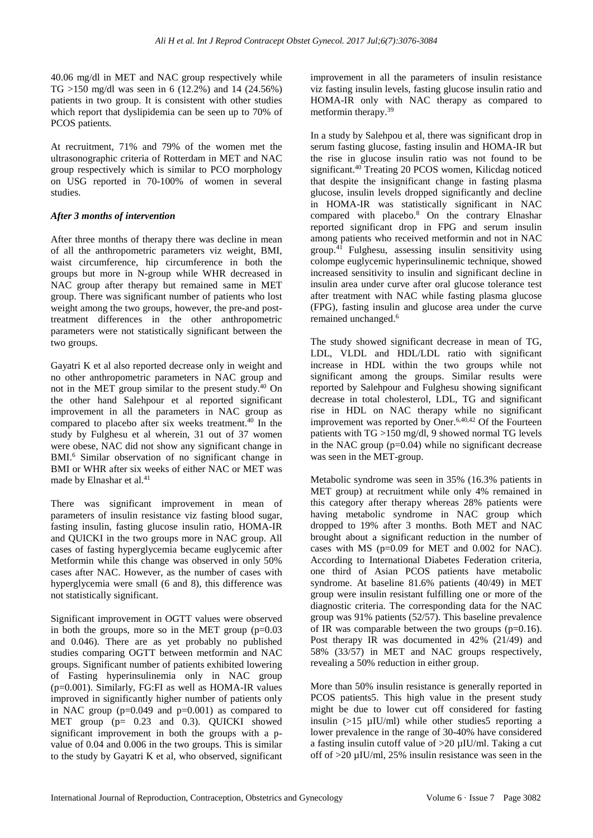40.06 mg/dl in MET and NAC group respectively while TG >150 mg/dl was seen in 6 (12.2%) and 14 (24.56%) patients in two group. It is consistent with other studies which report that dyslipidemia can be seen up to 70% of PCOS patients.

At recruitment, 71% and 79% of the women met the ultrasonographic criteria of Rotterdam in MET and NAC group respectively which is similar to PCO morphology on USG reported in 70-100% of women in several studies.

#### *After 3 months of intervention*

After three months of therapy there was decline in mean of all the anthropometric parameters viz weight, BMI, waist circumference, hip circumference in both the groups but more in N-group while WHR decreased in NAC group after therapy but remained same in MET group. There was significant number of patients who lost weight among the two groups, however, the pre-and posttreatment differences in the other anthropometric parameters were not statistically significant between the two groups.

Gayatri K et al also reported decrease only in weight and no other anthropometric parameters in NAC group and not in the MET group similar to the present study.<sup>40</sup> On the other hand Salehpour et al reported significant improvement in all the parameters in NAC group as compared to placebo after six weeks treatment.<sup>40</sup> In the study by Fulghesu et al wherein, 31 out of 37 women were obese, NAC did not show any significant change in BMI.<sup>6</sup> Similar observation of no significant change in BMI or WHR after six weeks of either NAC or MET was made by Elnashar et al. 41

There was significant improvement in mean of parameters of insulin resistance viz fasting blood sugar, fasting insulin, fasting glucose insulin ratio, HOMA-IR and QUICKI in the two groups more in NAC group. All cases of fasting hyperglycemia became euglycemic after Metformin while this change was observed in only 50% cases after NAC. However, as the number of cases with hyperglycemia were small (6 and 8), this difference was not statistically significant.

Significant improvement in OGTT values were observed in both the groups, more so in the MET group  $(p=0.03$ and 0.046). There are as yet probably no published studies comparing OGTT between metformin and NAC groups. Significant number of patients exhibited lowering of Fasting hyperinsulinemia only in NAC group (p=0.001). Similarly, FG:FI as well as HOMA-IR values improved in significantly higher number of patients only in NAC group  $(p=0.049$  and  $p=0.001)$  as compared to MET group (p= 0.23 and 0.3). QUICKI showed significant improvement in both the groups with a pvalue of 0.04 and 0.006 in the two groups. This is similar to the study by Gayatri K et al, who observed, significant improvement in all the parameters of insulin resistance viz fasting insulin levels, fasting glucose insulin ratio and HOMA-IR only with NAC therapy as compared to metformin therapy.<sup>39</sup>

In a study by Salehpou et al, there was significant drop in serum fasting glucose, fasting insulin and HOMA-IR but the rise in glucose insulin ratio was not found to be significant.<sup>40</sup> Treating 20 PCOS women, Kilicdag noticed that despite the insignificant change in fasting plasma glucose, insulin levels dropped significantly and decline in HOMA-IR was statistically significant in NAC compared with placebo.<sup>8</sup> On the contrary Elnashar reported significant drop in FPG and serum insulin among patients who received metformin and not in NAC group.<sup>41</sup> Fulghesu, assessing insulin sensitivity using colompe euglycemic hyperinsulinemic technique, showed increased sensitivity to insulin and significant decline in insulin area under curve after oral glucose tolerance test after treatment with NAC while fasting plasma glucose (FPG), fasting insulin and glucose area under the curve remained unchanged.<sup>6</sup>

The study showed significant decrease in mean of TG, LDL, VLDL and HDL/LDL ratio with significant increase in HDL within the two groups while not significant among the groups. Similar results were reported by Salehpour and Fulghesu showing significant decrease in total cholesterol, LDL, TG and significant rise in HDL on NAC therapy while no significant improvement was reported by Oner.<sup>6,40,42</sup> Of the Fourteen patients with  $TG > 150$  mg/dl, 9 showed normal TG levels in the NAC group (p=0.04) while no significant decrease was seen in the MET-group.

Metabolic syndrome was seen in 35% (16.3% patients in MET group) at recruitment while only 4% remained in this category after therapy whereas 28% patients were having metabolic syndrome in NAC group which dropped to 19% after 3 months. Both MET and NAC brought about a significant reduction in the number of cases with MS (p=0.09 for MET and 0.002 for NAC). According to International Diabetes Federation criteria, one third of Asian PCOS patients have metabolic syndrome. At baseline 81.6% patients (40/49) in MET group were insulin resistant fulfilling one or more of the diagnostic criteria. The corresponding data for the NAC group was 91% patients (52/57). This baseline prevalence of IR was comparable between the two groups  $(p=0.16)$ . Post therapy IR was documented in 42% (21/49) and 58% (33/57) in MET and NAC groups respectively, revealing a 50% reduction in either group.

More than 50% insulin resistance is generally reported in PCOS patients5. This high value in the present study might be due to lower cut off considered for fasting insulin  $(>15 \mu$ IU/ml) while other studies reporting a lower prevalence in the range of 30-40% have considered a fasting insulin cutoff value of >20 µIU/ml. Taking a cut off of >20 µIU/ml, 25% insulin resistance was seen in the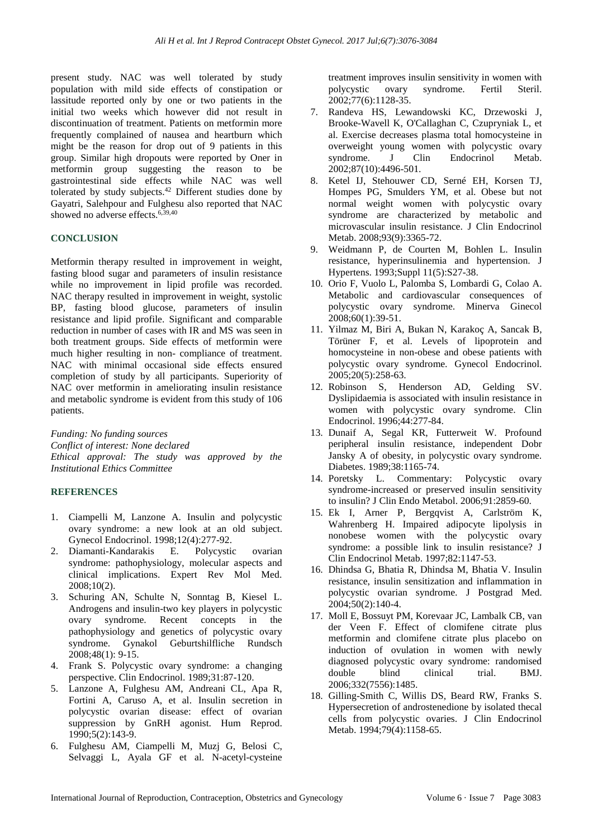present study. NAC was well tolerated by study population with mild side effects of constipation or lassitude reported only by one or two patients in the initial two weeks which however did not result in discontinuation of treatment. Patients on metformin more frequently complained of nausea and heartburn which might be the reason for drop out of 9 patients in this group. Similar high dropouts were reported by Oner in metformin group suggesting the reason to be gastrointestinal side effects while NAC was well tolerated by study subjects. $42$  Different studies done by Gayatri, Salehpour and Fulghesu also reported that NAC showed no adverse effects. 6,39,40

### **CONCLUSION**

Metformin therapy resulted in improvement in weight, fasting blood sugar and parameters of insulin resistance while no improvement in lipid profile was recorded. NAC therapy resulted in improvement in weight, systolic BP, fasting blood glucose, parameters of insulin resistance and lipid profile. Significant and comparable reduction in number of cases with IR and MS was seen in both treatment groups. Side effects of metformin were much higher resulting in non- compliance of treatment. NAC with minimal occasional side effects ensured completion of study by all participants. Superiority of NAC over metformin in ameliorating insulin resistance and metabolic syndrome is evident from this study of 106 patients.

*Funding: No funding sources Conflict of interest: None declared Ethical approval: The study was approved by the Institutional Ethics Committee*

#### **REFERENCES**

- 1. Ciampelli M, Lanzone A. Insulin and polycystic ovary syndrome: a new look at an old subject. Gynecol Endocrinol. 1998;12(4):277-92.
- 2. Diamanti-Kandarakis E. Polycystic ovarian syndrome: pathophysiology, molecular aspects and clinical implications. Expert Rev Mol Med. 2008;10(2).
- 3. Schuring AN, Schulte N, Sonntag B, Kiesel L. Androgens and insulin-two key players in polycystic ovary syndrome. Recent concepts in the pathophysiology and genetics of polycystic ovary syndrome. Gynakol Geburtshilfliche Rundsch 2008;48(1): 9-15.
- 4. Frank S. Polycystic ovary syndrome: a changing perspective. Clin Endocrinol. 1989;31:87-120.
- 5. Lanzone A, Fulghesu AM, Andreani CL, Apa R, Fortini A, Caruso A, et al. Insulin secretion in polycystic ovarian disease: effect of ovarian suppression by GnRH agonist. Hum Reprod. 1990;5(2):143-9.
- 6. Fulghesu AM, Ciampelli M, Muzj G, Belosi C, Selvaggi L, Ayala GF et al. N-acetyl-cysteine

treatment improves insulin sensitivity in women with polycystic ovary syndrome. Fertil Steril. 2002;77(6):1128-35.

- 7. Randeva HS, Lewandowski KC, Drzewoski J, Brooke-Wavell K, O'Callaghan C, Czupryniak L, et al. Exercise decreases plasma total homocysteine in overweight young women with polycystic ovary syndrome. J Clin Endocrinol Metab. 2002;87(10):4496-501.
- 8. Ketel IJ, Stehouwer CD, Serné EH, Korsen TJ, Hompes PG, Smulders YM, et al. Obese but not normal weight women with polycystic ovary syndrome are characterized by metabolic and microvascular insulin resistance. J Clin Endocrinol Metab. 2008:93(9):3365-72.
- 9. Weidmann P, de Courten M, Bohlen L. Insulin resistance, hyperinsulinemia and hypertension. J Hypertens. 1993;Suppl 11(5):S27-38.
- 10. Orio F, Vuolo L, Palomba S, Lombardi G, Colao A. Metabolic and cardiovascular consequences of polycystic ovary syndrome. Minerva Ginecol 2008;60(1):39-51.
- 11. Yilmaz M, Biri A, Bukan N, Karakoç A, Sancak B, Törüner F, et al. Levels of lipoprotein and homocysteine in non-obese and obese patients with polycystic ovary syndrome. Gynecol Endocrinol. 2005;20(5):258-63.
- 12. Robinson S, Henderson AD, Gelding SV. Dyslipidaemia is associated with insulin resistance in women with polycystic ovary syndrome. Clin Endocrinol. 1996;44:277-84.
- 13. Dunaif A, Segal KR, Futterweit W. Profound peripheral insulin resistance, independent Dobr Jansky A of obesity, in polycystic ovary syndrome. Diabetes. 1989;38:1165-74.
- 14. Poretsky L. Commentary: Polycystic ovary syndrome-increased or preserved insulin sensitivity to insulin? J Clin Endo Metabol. 2006;91:2859-60.
- 15. Ek I, Arner P, Bergqvist A, Carlström K, Wahrenberg H. Impaired adipocyte lipolysis in nonobese women with the polycystic ovary syndrome: a possible link to insulin resistance? J Clin Endocrinol Metab. 1997;82:1147-53.
- 16. Dhindsa G, Bhatia R, Dhindsa M, Bhatia V. Insulin resistance, insulin sensitization and inflammation in polycystic ovarian syndrome. J Postgrad Med. 2004;50(2):140-4.
- 17. Moll E, Bossuyt PM, Korevaar JC, Lambalk CB, van der Veen F. Effect of clomifene citrate plus metformin and clomifene citrate plus placebo on induction of ovulation in women with newly diagnosed polycystic ovary syndrome: randomised double blind clinical trial. BMJ. 2006;332(7556):1485.
- 18. Gilling-Smith C, Willis DS, Beard RW, Franks S. Hypersecretion of androstenedione by isolated thecal cells from polycystic ovaries. J Clin Endocrinol Metab. 1994;79(4):1158-65.